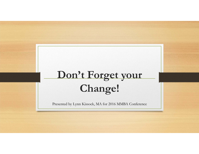# **Don't Forget your Change!**

Presented by Lynn Kissock, MA for 2016 MMBA Conference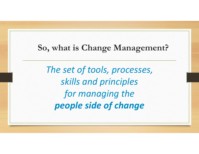#### **So, what is Change Management?**

*The set of tools, processes, skills and principles for managing the people side of change*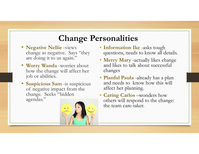### **Change Personalities**

- **Negative Nellie** -views change as negative. Says "they are doing it to us again.'
- **Worry Wanda** -worries about how the change will affect her job or abilities.
- • **Suspicious Sam** -is suspicious of negative impact from the change. Seeks "hidden agendas."



- **Information Ike** -asks tough questions, needs to know all details.
- **Merry Mary** -actually likes change and likes to talk about successful changes
- **Planful Paula** -already has a plan and needs to know how this will affect her planning.
- **Caring Carlos** –wonders how others will respond to the change: the team care-taker.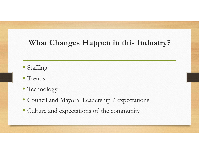### **What Changes Happen in this Industry?**

- Staffing
- Trends
- Technology
- Council and Mayoral Leadership / expectations
- Culture and expectations of the community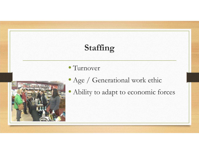### **Staffing**

#### • Turnover



- Age / Generational work ethic
- Ability to adapt to economic forces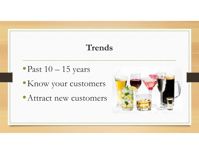### **Trends**

- •Past 10 15 years
- •Know your customers
- Attract new customers

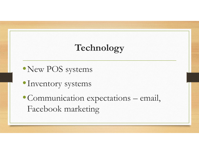## **Technology**

- •New POS systems
- •Inventory systems
- •Communication expectations email, Facebook marketing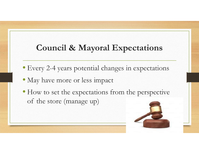### **Council & Mayoral Expectations**

- Every 2-4 years potential changes in expectations
- May have more or less impact
- How to set the expectations from the perspective of the store (manage up)

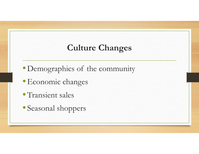### **Culture Changes**

- Demographics of the community
- •Economic changes
- Transient sales
- Seasonal shoppers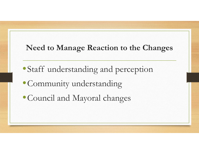#### **Need to Manage Reaction to the Changes**

- •Staff understanding and perception
- •Community understanding
- •Council and Mayoral changes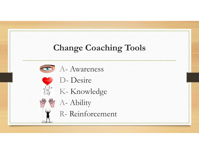### **Change Coaching Tools**





- D- Desire
- K- Knowledge



- <sup>《 、</sup> 、 Ability
	- R- Reinforcement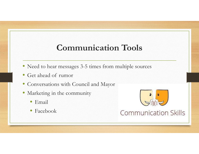### **Communication Tools**

- Need to hear messages 3-5 times from multiple sources
- Get ahead of rumor
- Conversations with Council and Mayor
- Marketing in the community
	- Email
	- $\bullet$ Facebook



**Communication Skills**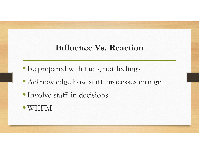### **Influence Vs. Reaction**

- Be prepared with facts, not feelings
- Acknowledge how staff processes change
- •Involve staff in decisions
- WIIFM